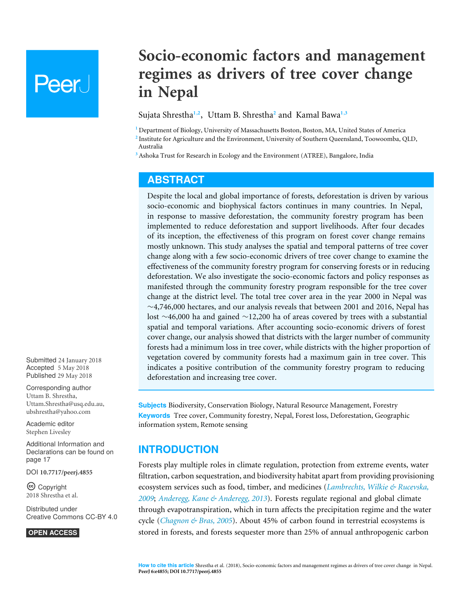# **Peer**

# **Socio-economic factors and management regimes as drivers of tree cover change in Nepal**

<span id="page-0-5"></span><span id="page-0-4"></span><span id="page-0-3"></span>Sujata Shrestha**[1](#page-0-0)**,**[2](#page-0-1)** , Uttam B. Shrestha**[2](#page-0-1)** and Kamal Bawa**[1](#page-0-0)**,**[3](#page-0-2)**

<span id="page-0-0"></span>**<sup>1</sup>** Department of Biology, University of Massachusetts Boston, Boston, MA, United States of America

<span id="page-0-1"></span>**2** Institute for Agriculture and the Environment, University of Southern Queensland, Toowoomba, QLD, Australia

<span id="page-0-2"></span>**<sup>3</sup>** Ashoka Trust for Research in Ecology and the Environment (ATREE), Bangalore, India

# **ABSTRACT**

Despite the local and global importance of forests, deforestation is driven by various socio-economic and biophysical factors continues in many countries. In Nepal, in response to massive deforestation, the community forestry program has been implemented to reduce deforestation and support livelihoods. After four decades of its inception, the effectiveness of this program on forest cover change remains mostly unknown. This study analyses the spatial and temporal patterns of tree cover change along with a few socio-economic drivers of tree cover change to examine the effectiveness of the community forestry program for conserving forests or in reducing deforestation. We also investigate the socio-economic factors and policy responses as manifested through the community forestry program responsible for the tree cover change at the district level. The total tree cover area in the year 2000 in Nepal was ∼4,746,000 hectares, and our analysis reveals that between 2001 and 2016, Nepal has lost ∼46,000 ha and gained ∼12,200 ha of areas covered by trees with a substantial spatial and temporal variations. After accounting socio-economic drivers of forest cover change, our analysis showed that districts with the larger number of community forests had a minimum loss in tree cover, while districts with the higher proportion of vegetation covered by community forests had a maximum gain in tree cover. This indicates a positive contribution of the community forestry program to reducing deforestation and increasing tree cover.

**Subjects** Biodiversity, Conservation Biology, Natural Resource Management, Forestry **Keywords** Tree cover, Community forestry, Nepal, Forest loss, Deforestation, Geographic information system, Remote sensing

# **INTRODUCTION**

Forests play multiple roles in climate regulation, protection from extreme events, water filtration, carbon sequestration, and biodiversity habitat apart from providing provisioning ecosystem services such as food, timber, and medicines (*[Lambrechts, Wilkie & Rucevska,](#page-21-0) [2009](#page-21-0)*; *[Anderegg, Kane & Anderegg, 2013](#page-18-0)*). Forests regulate regional and global climate through evapotranspiration, which in turn affects the precipitation regime and the water cycle (*[Chagnon & Bras, 2005](#page-19-0)*). About 45% of carbon found in terrestrial ecosystems is stored in forests, and forests sequester more than 25% of annual anthropogenic carbon

Submitted 24 January 2018 Accepted 5 May 2018 Published 29 May 2018

Corresponding author Uttam B. Shrestha, [Uttam.Shrestha@usq.edu.au,](mailto:Uttam.Shrestha@usq.edu.au) [ubshrestha@yahoo.com](mailto:ubshrestha@yahoo.com)

[Academic editor](https://peerj.com/academic-boards/editors/) [Stephen Livesley](https://peerj.com/academic-boards/editors/)

[Additional Information and](#page-16-0) [Declarations can be found on](#page-16-0) [page 17](#page-16-0)

DOI **[10.7717/peerj.4855](http://dx.doi.org/10.7717/peerj.4855)**

Ccopyright 2018 Shrestha et al.

[Distributed under](http://creativecommons.org/licenses/by/4.0/) [Creative Commons CC-BY 4.0](http://creativecommons.org/licenses/by/4.0/)

**OPEN ACCESS**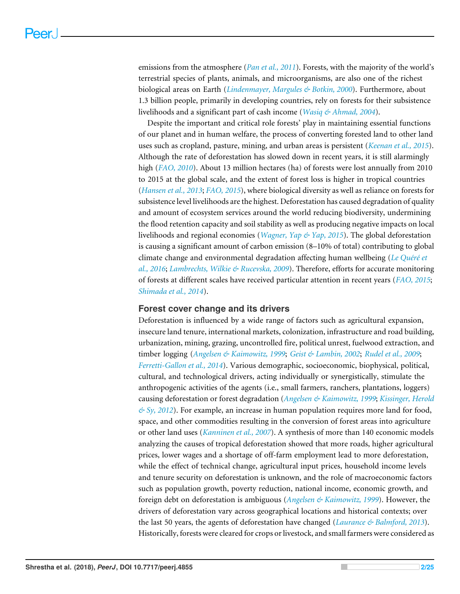emissions from the atmosphere (*[Pan et al., 2011](#page-22-0)*). Forests, with the majority of the world's terrestrial species of plants, animals, and microorganisms, are also one of the richest biological areas on Earth (*[Lindenmayer, Margules & Botkin, 2000](#page-21-1)*). Furthermore, about 1.3 billion people, primarily in developing countries, rely on forests for their subsistence livelihoods and a significant part of cash income (*[Wasiq & Ahmad, 2004](#page-23-0)*).

Despite the important and critical role forests' play in maintaining essential functions of our planet and in human welfare, the process of converting forested land to other land uses such as cropland, pasture, mining, and urban areas is persistent (*[Keenan et al., 2015](#page-21-2)*). Although the rate of deforestation has slowed down in recent years, it is still alarmingly high (*[FAO, 2010](#page-19-1)*). About 13 million hectares (ha) of forests were lost annually from 2010 to 2015 at the global scale, and the extent of forest loss is higher in tropical countries (*[Hansen et al., 2013](#page-20-0)*; *[FAO, 2015](#page-19-2)*), where biological diversity as well as reliance on forests for subsistence level livelihoods are the highest. Deforestation has caused degradation of quality and amount of ecosystem services around the world reducing biodiversity, undermining the flood retention capacity and soil stability as well as producing negative impacts on local livelihoods and regional economies (*[Wagner, Yap & Yap, 2015](#page-23-1)*). The global deforestation is causing a significant amount of carbon emission (8–10% of total) contributing to global climate change and environmental degradation affecting human wellbeing (*[Le Quéré et](#page-21-3) [al., 2016](#page-21-3)*; *[Lambrechts, Wilkie & Rucevska, 2009](#page-21-0)*). Therefore, efforts for accurate monitoring of forests at different scales have received particular attention in recent years (*[FAO, 2015](#page-19-2)*; *[Shimada et al., 2014](#page-23-2)*).

### **Forest cover change and its drivers**

Deforestation is influenced by a wide range of factors such as agricultural expansion, insecure land tenure, international markets, colonization, infrastructure and road building, urbanization, mining, grazing, uncontrolled fire, political unrest, fuelwood extraction, and timber logging (*[Angelsen & Kaimowitz, 1999](#page-18-1)*; *[Geist & Lambin, 2002](#page-19-3)*; *[Rudel et al., 2009](#page-23-3)*; *[Ferretti-Gallon et al., 2014](#page-19-4)*). Various demographic, socioeconomic, biophysical, political, cultural, and technological drivers, acting individually or synergistically, stimulate the anthropogenic activities of the agents (i.e., small farmers, ranchers, plantations, loggers) causing deforestation or forest degradation (*[Angelsen & Kaimowitz, 1999](#page-18-1)*; *[Kissinger, Herold](#page-21-4) [& Sy, 2012](#page-21-4)*). For example, an increase in human population requires more land for food, space, and other commodities resulting in the conversion of forest areas into agriculture or other land uses (*[Kanninen et al., 2007](#page-21-5)*). A synthesis of more than 140 economic models analyzing the causes of tropical deforestation showed that more roads, higher agricultural prices, lower wages and a shortage of off-farm employment lead to more deforestation, while the effect of technical change, agricultural input prices, household income levels and tenure security on deforestation is unknown, and the role of macroeconomic factors such as population growth, poverty reduction, national income, economic growth, and foreign debt on deforestation is ambiguous (*[Angelsen & Kaimowitz, 1999](#page-18-1)*). However, the drivers of deforestation vary across geographical locations and historical contexts; over the last 50 years, the agents of deforestation have changed (*[Laurance & Balmford, 2013](#page-21-6)*). Historically, forests were cleared for crops or livestock, and small farmers were considered as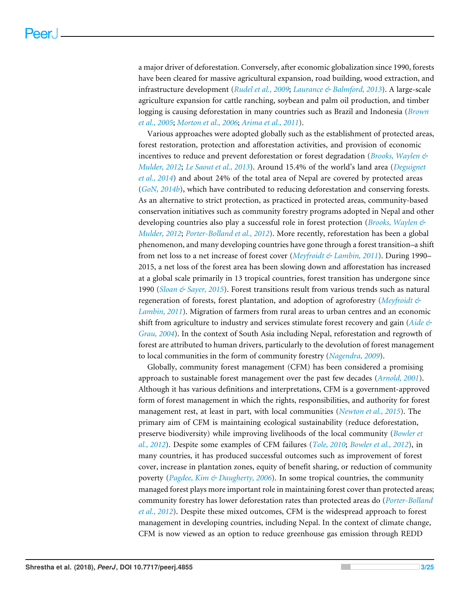a major driver of deforestation. Conversely, after economic globalization since 1990, forests have been cleared for massive agricultural expansion, road building, wood extraction, and infrastructure development (*[Rudel et al., 2009](#page-23-3)*; *[Laurance & Balmford, 2013](#page-21-6)*). A large-scale agriculture expansion for cattle ranching, soybean and palm oil production, and timber logging is causing deforestation in many countries such as Brazil and Indonesia (*[Brown](#page-18-2) [et al., 2005](#page-18-2)*; *[Morton et al., 2006](#page-22-1)*; *[Arima et al., 2011](#page-18-3)*).

Various approaches were adopted globally such as the establishment of protected areas, forest restoration, protection and afforestation activities, and provision of economic incentives to reduce and prevent deforestation or forest degradation (*[Brooks, Waylen &](#page-18-4) [Mulder, 2012](#page-18-4)*; *[Le Saout et al., 2013](#page-21-7)*). Around 15.4% of the world's land area (*[Deguignet](#page-19-5) [et al., 2014](#page-19-5)*) and about 24% of the total area of Nepal are covered by protected areas (*[GoN, 2014b](#page-20-1)*), which have contributed to reducing deforestation and conserving forests. As an alternative to strict protection, as practiced in protected areas, community-based conservation initiatives such as community forestry programs adopted in Nepal and other developing countries also play a successful role in forest protection (*[Brooks, Waylen &](#page-18-4) [Mulder, 2012](#page-18-4)*; *[Porter-Bolland et al., 2012](#page-22-2)*). More recently, reforestation has been a global phenomenon, and many developing countries have gone through a forest transition–a shift from net loss to a net increase of forest cover (*[Meyfroidt & Lambin, 2011](#page-22-3)*). During 1990– 2015, a net loss of the forest area has been slowing down and afforestation has increased at a global scale primarily in 13 tropical countries, forest transition has undergone since 1990 (*[Sloan & Sayer, 2015](#page-23-4)*). Forest transitions result from various trends such as natural regeneration of forests, forest plantation, and adoption of agroforestry (*[Meyfroidt &](#page-22-3) [Lambin, 2011](#page-22-3)*). Migration of farmers from rural areas to urban centres and an economic shift from agriculture to industry and services stimulate forest recovery and gain (*[Aide &](#page-17-0) [Grau, 2004](#page-17-0)*). In the context of South Asia including Nepal, reforestation and regrowth of forest are attributed to human drivers, particularly to the devolution of forest management to local communities in the form of community forestry (*[Nagendra, 2009](#page-22-4)*).

Globally, community forest management (CFM) has been considered a promising approach to sustainable forest management over the past few decades (*[Arnold, 2001](#page-18-5)*). Although it has various definitions and interpretations, CFM is a government-approved form of forest management in which the rights, responsibilities, and authority for forest management rest, at least in part, with local communities (*[Newton et al., 2015](#page-22-5)*). The primary aim of CFM is maintaining ecological sustainability (reduce deforestation, preserve biodiversity) while improving livelihoods of the local community (*[Bowler et](#page-18-6) [al., 2012](#page-18-6)*). Despite some examples of CFM failures (*[Tole, 2010](#page-23-5)*; *[Bowler et al., 2012](#page-18-6)*), in many countries, it has produced successful outcomes such as improvement of forest cover, increase in plantation zones, equity of benefit sharing, or reduction of community poverty (*[Pagdee, Kim & Daugherty, 2006](#page-22-6)*). In some tropical countries, the community managed forest plays more important role in maintaining forest cover than protected areas; community forestry has lower deforestation rates than protected areas do (*[Porter-Bolland](#page-22-2) [et al., 2012](#page-22-2)*). Despite these mixed outcomes, CFM is the widespread approach to forest management in developing countries, including Nepal. In the context of climate change, CFM is now viewed as an option to reduce greenhouse gas emission through REDD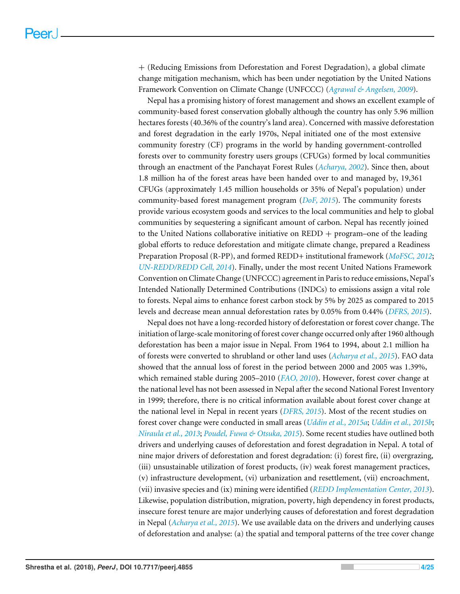+ (Reducing Emissions from Deforestation and Forest Degradation), a global climate change mitigation mechanism, which has been under negotiation by the United Nations Framework Convention on Climate Change (UNFCCC) (*[Agrawal & Angelsen,](#page-17-1) [2009](#page-17-1)*).

Nepal has a promising history of forest management and shows an excellent example of community-based forest conservation globally although the country has only 5.96 million hectares forests (40.36% of the country's land area). Concerned with massive deforestation and forest degradation in the early 1970s, Nepal initiated one of the most extensive community forestry (CF) programs in the world by handing government-controlled forests over to community forestry users groups (CFUGs) formed by local communities through an enactment of the Panchayat Forest Rules (*[Acharya, 2002](#page-17-2)*). Since then, about 1.8 million ha of the forest areas have been handed over to and managed by, 19,361 CFUGs (approximately 1.45 million households or 35% of Nepal's population) under community-based forest management program (*[DoF, 2015](#page-20-2)*). The community forests provide various ecosystem goods and services to the local communities and help to global communities by sequestering a significant amount of carbon. Nepal has recently joined to the United Nations collaborative initiative on  $REDD + program$  one of the leading global efforts to reduce deforestation and mitigate climate change, prepared a Readiness Preparation Proposal (R-PP), and formed REDD+ institutional framework (*[MoFSC, 2012](#page-20-3)*; *[UN-REDD/REDD Cell, 2014](#page-23-6)*). Finally, under the most recent United Nations Framework Convention on Climate Change (UNFCCC) agreement in Paris to reduce emissions, Nepal's Intended Nationally Determined Contributions (INDCs) to emissions assign a vital role to forests. Nepal aims to enhance forest carbon stock by 5% by 2025 as compared to 2015 levels and decrease mean annual deforestation rates by 0.05% from 0.44% (*[DFRS, 2015](#page-20-4)*).

Nepal does not have a long-recorded history of deforestation or forest cover change. The initiation of large-scale monitoring of forest cover change occurred only after 1960 although deforestation has been a major issue in Nepal. From 1964 to 1994, about 2.1 million ha of forests were converted to shrubland or other land uses (*[Acharya et al., 2015](#page-17-3)*). FAO data showed that the annual loss of forest in the period between 2000 and 2005 was 1.39%, which remained stable during 2005–2010 (*[FAO, 2010](#page-19-1)*). However, forest cover change at the national level has not been assessed in Nepal after the second National Forest Inventory in 1999; therefore, there is no critical information available about forest cover change at the national level in Nepal in recent years (*[DFRS, 2015](#page-20-4)*). Most of the recent studies on forest cover change were conducted in small areas (*[Uddin et al., 2015a](#page-23-7)*; *[Uddin et al., 2015b](#page-23-8)*; *[Niraula et al., 2013](#page-22-7)*; *[Poudel, Fuwa & Otsuka, 2015](#page-22-8)*). Some recent studies have outlined both drivers and underlying causes of deforestation and forest degradation in Nepal. A total of nine major drivers of deforestation and forest degradation: (i) forest fire, (ii) overgrazing, (iii) unsustainable utilization of forest products, (iv) weak forest management practices, (v) infrastructure development, (vi) urbanization and resettlement, (vii) encroachment, (vii) invasive species and (ix) mining were identified (*[REDD Implementation Center, 2013](#page-22-9)*). Likewise, population distribution, migration, poverty, high dependency in forest products, insecure forest tenure are major underlying causes of deforestation and forest degradation in Nepal (*[Acharya et al., 2015](#page-17-3)*). We use available data on the drivers and underlying causes of deforestation and analyse: (a) the spatial and temporal patterns of the tree cover change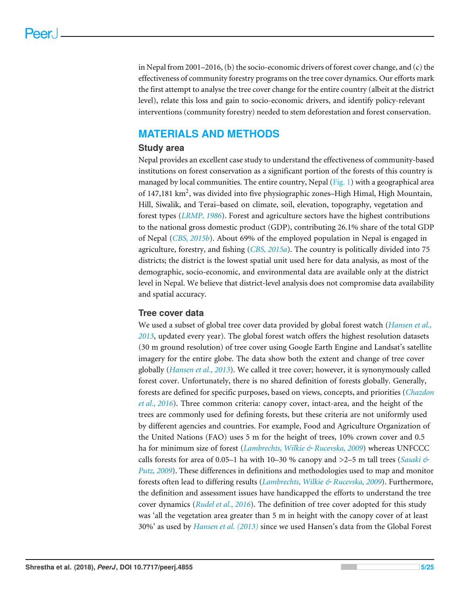in Nepal from 2001–2016, (b) the socio-economic drivers of forest cover change, and (c) the effectiveness of community forestry programs on the tree cover dynamics. Our efforts mark the first attempt to analyse the tree cover change for the entire country (albeit at the district level), relate this loss and gain to socio-economic drivers, and identify policy-relevant interventions (community forestry) needed to stem deforestation and forest conservation.

# **MATERIALS AND METHODS**

## **Study area**

Nepal provides an excellent case study to understand the effectiveness of community-based institutions on forest conservation as a significant portion of the forests of this country is managed by local communities. The entire country, Nepal  $(Fig, 1)$  with a geographical area of 147,181 km<sup>2</sup>, was divided into five physiographic zones-High Himal, High Mountain, Hill, Siwalik, and Terai–based on climate, soil, elevation, topography, vegetation and forest types (*[LRMP, 1986](#page-21-8)*). Forest and agriculture sectors have the highest contributions to the national gross domestic product (GDP), contributing 26.1% share of the total GDP of Nepal (*[CBS, 2015b](#page-20-5)*). About 69% of the employed population in Nepal is engaged in agriculture, forestry, and fishing (*[CBS, 2015a](#page-20-6)*). The country is politically divided into 75 districts; the district is the lowest spatial unit used here for data analysis, as most of the demographic, socio-economic, and environmental data are available only at the district level in Nepal. We believe that district-level analysis does not compromise data availability and spatial accuracy.

# **Tree cover data**

We used a subset of global tree cover data provided by global forest watch (*[Hansen et al.,](#page-20-0) [2013](#page-20-0)*, updated every year). The global forest watch offers the highest resolution datasets (30 m ground resolution) of tree cover using Google Earth Engine and Landsat's satellite imagery for the entire globe. The data show both the extent and change of tree cover globally (*[Hansen et al., 2013](#page-20-0)*). We called it tree cover; however, it is synonymously called forest cover. Unfortunately, there is no shared definition of forests globally. Generally, forests are defined for specific purposes, based on views, concepts, and priorities (*[Chazdon](#page-19-6) [et al., 2016](#page-19-6)*). Three common criteria: canopy cover, intact-area, and the height of the trees are commonly used for defining forests, but these criteria are not uniformly used by different agencies and countries. For example, Food and Agriculture Organization of the United Nations (FAO) uses 5 m for the height of trees, 10% crown cover and 0.5 ha for minimum size of forest (*[Lambrechts, Wilkie & Rucevska, 2009](#page-21-0)*) whereas UNFCCC calls forests for area of 0.05–1 ha with 10–30 % canopy and >2–5 m tall trees (*[Sasaki &](#page-23-9) [Putz, 2009](#page-23-9)*). These differences in definitions and methodologies used to map and monitor forests often lead to differing results (*[Lambrechts, Wilkie & Rucevska, 2009](#page-21-0)*). Furthermore, the definition and assessment issues have handicapped the efforts to understand the tree cover dynamics (*[Rudel et al., 2016](#page-23-10)*). The definition of tree cover adopted for this study was 'all the vegetation area greater than 5 m in height with the canopy cover of at least 30%' as used by *[Hansen et al. \(2013\)](#page-20-0)* since we used Hansen's data from the Global Forest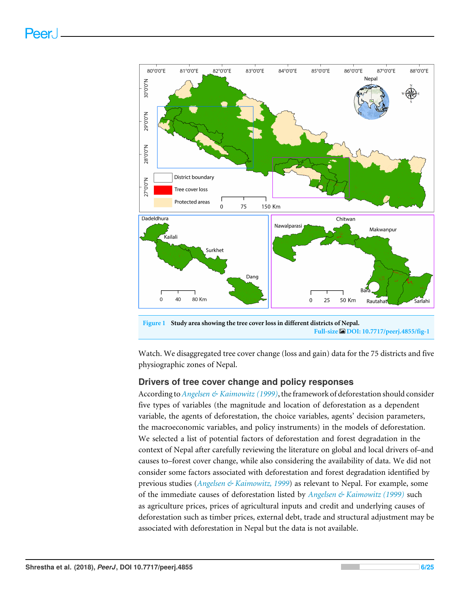<span id="page-5-0"></span>

Watch. We disaggregated tree cover change (loss and gain) data for the 75 districts and five physiographic zones of Nepal.

# **Drivers of tree cover change and policy responses**

According to*[Angelsen & Kaimowitz \(1999\)](#page-18-1)*, the framework of deforestation should consider five types of variables (the magnitude and location of deforestation as a dependent variable, the agents of deforestation, the choice variables, agents' decision parameters, the macroeconomic variables, and policy instruments) in the models of deforestation. We selected a list of potential factors of deforestation and forest degradation in the context of Nepal after carefully reviewing the literature on global and local drivers of–and causes to–forest cover change, while also considering the availability of data. We did not consider some factors associated with deforestation and forest degradation identified by previous studies (*[Angelsen & Kaimowitz, 1999](#page-18-1)*) as relevant to Nepal. For example, some of the immediate causes of deforestation listed by *[Angelsen & Kaimowitz \(1999\)](#page-18-1)* such as agriculture prices, prices of agricultural inputs and credit and underlying causes of deforestation such as timber prices, external debt, trade and structural adjustment may be associated with deforestation in Nepal but the data is not available.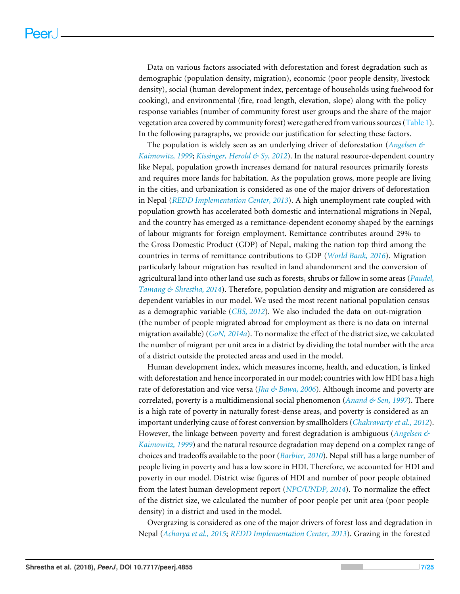Data on various factors associated with deforestation and forest degradation such as demographic (population density, migration), economic (poor people density, livestock density), social (human development index, percentage of households using fuelwood for cooking), and environmental (fire, road length, elevation, slope) along with the policy response variables (number of community forest user groups and the share of the major vegetation area covered by community forest) were gathered from various sources [\(Table 1\)](#page-7-0). In the following paragraphs, we provide our justification for selecting these factors.

The population is widely seen as an underlying driver of deforestation (*[Angelsen &](#page-18-1) [Kaimowitz, 1999](#page-18-1)*; *[Kissinger, Herold & Sy, 2012](#page-21-4)*). In the natural resource-dependent country like Nepal, population growth increases demand for natural resources primarily forests and requires more lands for habitation. As the population grows, more people are living in the cities, and urbanization is considered as one of the major drivers of deforestation in Nepal (*[REDD Implementation Center, 2013](#page-22-9)*). A high unemployment rate coupled with population growth has accelerated both domestic and international migrations in Nepal, and the country has emerged as a remittance-dependent economy shaped by the earnings of labour migrants for foreign employment. Remittance contributes around 29% to the Gross Domestic Product (GDP) of Nepal, making the nation top third among the countries in terms of remittance contributions to GDP (*[World Bank,](#page-24-0) [2016](#page-24-0)*). Migration particularly labour migration has resulted in land abandonment and the conversion of agricultural land into other land use such as forests, shrubs or fallow in some areas (*[Paudel,](#page-22-10) [Tamang & Shrestha, 2014](#page-22-10)*). Therefore, population density and migration are considered as dependent variables in our model. We used the most recent national population census as a demographic variable (*[CBS, 2012](#page-20-7)*). We also included the data on out-migration (the number of people migrated abroad for employment as there is no data on internal migration available) (*[GoN, 2014a](#page-20-8)*). To normalize the effect of the district size, we calculated the number of migrant per unit area in a district by dividing the total number with the area of a district outside the protected areas and used in the model.

Human development index, which measures income, health, and education, is linked with deforestation and hence incorporated in our model; countries with low HDI has a high rate of deforestation and vice versa (*[Jha & Bawa, 2006](#page-20-9)*). Although income and poverty are correlated, poverty is a multidimensional social phenomenon (*[Anand & Sen, 1997](#page-18-7)*). There is a high rate of poverty in naturally forest-dense areas, and poverty is considered as an important underlying cause of forest conversion by smallholders (*[Chakravarty et al., 2012](#page-19-7)*). However, the linkage between poverty and forest degradation is ambiguous (*[Angelsen &](#page-18-1) [Kaimowitz, 1999](#page-18-1)*) and the natural resource degradation may depend on a complex range of choices and tradeoffs available to the poor (*[Barbier, 2010](#page-18-8)*). Nepal still has a large number of people living in poverty and has a low score in HDI. Therefore, we accounted for HDI and poverty in our model. District wise figures of HDI and number of poor people obtained from the latest human development report (*[NPC/UNDP, 2014](#page-22-11)*). To normalize the effect of the district size, we calculated the number of poor people per unit area (poor people density) in a district and used in the model.

Overgrazing is considered as one of the major drivers of forest loss and degradation in Nepal (*[Acharya et al., 2015](#page-17-3)*; *[REDD Implementation Center, 2013](#page-22-9)*). Grazing in the forested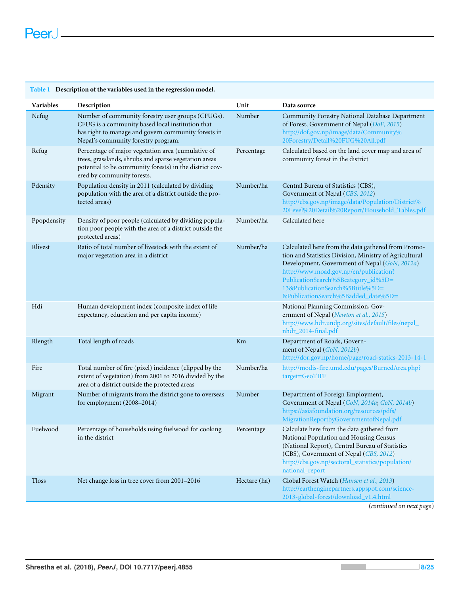<span id="page-7-0"></span>

| Table 1 Description of the variables used in the regression model. |                                                                                                                                                                                                      |              |                                                                                                                                                                                                                                                                                                                           |  |  |  |  |  |
|--------------------------------------------------------------------|------------------------------------------------------------------------------------------------------------------------------------------------------------------------------------------------------|--------------|---------------------------------------------------------------------------------------------------------------------------------------------------------------------------------------------------------------------------------------------------------------------------------------------------------------------------|--|--|--|--|--|
| Variables                                                          | Description                                                                                                                                                                                          | Unit         | Data source                                                                                                                                                                                                                                                                                                               |  |  |  |  |  |
| Ncfug                                                              | Number of community forestry user groups (CFUGs).<br>CFUG is a community based local institution that<br>has right to manage and govern community forests in<br>Nepal's community forestry program.  | Number       | Community Forestry National Database Department<br>of Forest, Government of Nepal (DoF, 2015)<br>http://dof.gov.np/image/data/Community%<br>20Forestry/Detail%20FUG%20All.pdf                                                                                                                                             |  |  |  |  |  |
| Rcfug                                                              | Percentage of major vegetation area (cumulative of<br>trees, grasslands, shrubs and sparse vegetation areas<br>potential to be community forests) in the district cov-<br>ered by community forests. | Percentage   | Calculated based on the land cover map and area of<br>community forest in the district                                                                                                                                                                                                                                    |  |  |  |  |  |
| Pdensity                                                           | Population density in 2011 (calculated by dividing<br>population with the area of a district outside the pro-<br>tected areas)                                                                       | Number/ha    | Central Bureau of Statistics (CBS),<br>Government of Nepal (CBS, 2012)<br>http://cbs.gov.np/image/data/Population/District%<br>20Level%20Detail%20Report/Household_Tables.pdf                                                                                                                                             |  |  |  |  |  |
| Ppopdensity                                                        | Density of poor people (calculated by dividing popula-<br>tion poor people with the area of a district outside the<br>protected areas)                                                               | Number/ha    | Calculated here                                                                                                                                                                                                                                                                                                           |  |  |  |  |  |
| Rlivest                                                            | Ratio of total number of livestock with the extent of<br>major vegetation area in a district                                                                                                         | Number/ha    | Calculated here from the data gathered from Promo-<br>tion and Statistics Division, Ministry of Agricultural<br>Development, Government of Nepal (GoN, 2012a)<br>http://www.moad.gov.np/en/publication?<br>PublicationSearch%5Bcategory_id%5D=<br>13&PublicationSearch%5Btitle%5D=<br>&PublicationSearch%5Badded_date%5D= |  |  |  |  |  |
| Hdi                                                                | Human development index (composite index of life<br>expectancy, education and per capita income)                                                                                                     |              | National Planning Commission, Gov-<br>ernment of Nepal (Newton et al., 2015)<br>http://www.hdr.undp.org/sites/default/files/nepal_<br>nhdr_2014-final.pdf                                                                                                                                                                 |  |  |  |  |  |
| Rlength                                                            | Total length of roads                                                                                                                                                                                | Km           | Department of Roads, Govern-<br>ment of Nepal (GoN, 2012b)<br>http://dor.gov.np/home/page/road-statics-2013-14-1                                                                                                                                                                                                          |  |  |  |  |  |
| Fire                                                               | Total number of fire (pixel) incidence (clipped by the<br>extent of vegetation) from 2001 to 2016 divided by the<br>area of a district outside the protected areas                                   | Number/ha    | http://modis-fire.umd.edu/pages/BurnedArea.php?<br>target=GeoTIFF                                                                                                                                                                                                                                                         |  |  |  |  |  |
| Migrant                                                            | Number of migrants from the district gone to overseas<br>for employment (2008-2014)                                                                                                                  | Number       | Department of Foreign Employment,<br>Government of Nepal (GoN, 2014a; GoN, 2014b)<br>https://asiafoundation.org/resources/pdfs/<br>MigrationReportbyGovernmentofNepal.pdf                                                                                                                                                 |  |  |  |  |  |
| Fuelwood                                                           | Percentage of households using fuelwood for cooking<br>in the district                                                                                                                               | Percentage   | Calculate here from the data gathered from<br>National Population and Housing Census<br>(National Report), Central Bureau of Statistics<br>(CBS), Government of Nepal (CBS, 2012)<br>http://cbs.gov.np/sectoral_statistics/population/<br>national_report                                                                 |  |  |  |  |  |
| <b>Tloss</b>                                                       | Net change loss in tree cover from 2001-2016                                                                                                                                                         | Hectare (ha) | Global Forest Watch (Hansen et al., 2013)<br>http://earthenginepartners.appspot.com/science-<br>2013-global-forest/download_v1.4.html                                                                                                                                                                                     |  |  |  |  |  |

(*continued on next page*)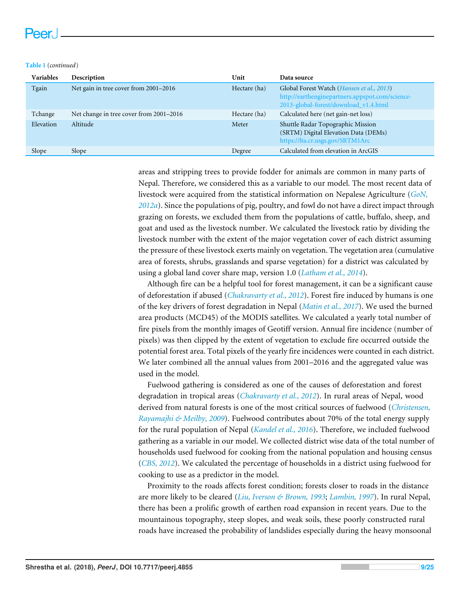#### **Table 1** (*continued*)

| Variables | Description                             | Unit         | Data source                                                                                                                                    |
|-----------|-----------------------------------------|--------------|------------------------------------------------------------------------------------------------------------------------------------------------|
| Tgain     | Net gain in tree cover from 2001–2016   | Hectare (ha) | Global Forest Watch ( <i>Hansen et al.</i> , 2013)<br>http://earthenginepartners.appspot.com/science-<br>2013-global-forest/download_v1.4.html |
| Tchange   | Net change in tree cover from 2001–2016 | Hectare (ha) | Calculated here (net gain-net loss)                                                                                                            |
| Elevation | Altitude                                | Meter        | Shuttle Radar Topographic Mission<br>(SRTM) Digital Elevation Data (DEMs)<br>https://lta.cr.usgs.gov/SRTM1Arc                                  |
| Slope     | Slope                                   | Degree       | Calculated from elevation in ArcGIS                                                                                                            |

areas and stripping trees to provide fodder for animals are common in many parts of Nepal. Therefore, we considered this as a variable to our model. The most recent data of livestock were acquired from the statistical information on Nepalese Agriculture (*[GoN,](#page-19-8) [2012a](#page-19-8)*). Since the populations of pig, poultry, and fowl do not have a direct impact through grazing on forests, we excluded them from the populations of cattle, buffalo, sheep, and goat and used as the livestock number. We calculated the livestock ratio by dividing the livestock number with the extent of the major vegetation cover of each district assuming the pressure of these livestock exerts mainly on vegetation. The vegetation area (cumulative area of forests, shrubs, grasslands and sparse vegetation) for a district was calculated by using a global land cover share map, version 1.0 (*[Latham et al., 2014](#page-21-9)*).

Although fire can be a helpful tool for forest management, it can be a significant cause of deforestation if abused (*[Chakravarty et al., 2012](#page-19-7)*). Forest fire induced by humans is one of the key drivers of forest degradation in Nepal (*[Matin et al., 2017](#page-21-10)*). We used the burned area products (MCD45) of the MODIS satellites. We calculated a yearly total number of fire pixels from the monthly images of Geotiff version. Annual fire incidence (number of pixels) was then clipped by the extent of vegetation to exclude fire occurred outside the potential forest area. Total pixels of the yearly fire incidences were counted in each district. We later combined all the annual values from 2001–2016 and the aggregated value was used in the model.

Fuelwood gathering is considered as one of the causes of deforestation and forest degradation in tropical areas (*[Chakravarty et al., 2012](#page-19-7)*). In rural areas of Nepal, wood derived from natural forests is one of the most critical sources of fuelwood (*[Christensen,](#page-19-10) [Rayamajhi & Meilby, 2009](#page-19-10)*). Fuelwood contributes about 70% of the total energy supply for the rural population of Nepal (*[Kandel et al., 2016](#page-20-11)*). Therefore, we included fuelwood gathering as a variable in our model. We collected district wise data of the total number of households used fuelwood for cooking from the national population and housing census (*[CBS, 2012](#page-20-7)*). We calculated the percentage of households in a district using fuelwood for cooking to use as a predictor in the model.

Proximity to the roads affects forest condition; forests closer to roads in the distance are more likely to be cleared (*[Liu, Iverson & Brown, 1993](#page-21-11)*; *[Lambin, 1997](#page-21-12)*). In rural Nepal, there has been a prolific growth of earthen road expansion in recent years. Due to the mountainous topography, steep slopes, and weak soils, these poorly constructed rural roads have increased the probability of landslides especially during the heavy monsoonal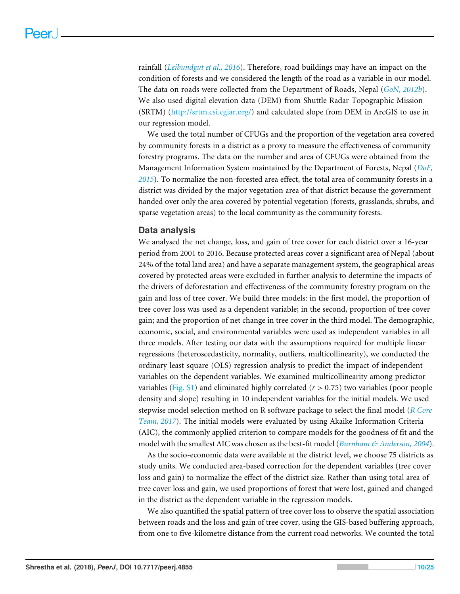rainfall (*[Leibundgut et al., 2016](#page-21-13)*). Therefore, road buildings may have an impact on the condition of forests and we considered the length of the road as a variable in our model. The data on roads were collected from the Department of Roads, Nepal (*[GoN, 2012b](#page-19-11)*). We also used digital elevation data (DEM) from Shuttle Radar Topographic Mission (SRTM) [\(http://srtm.csi.cgiar.org/\)](http://srtm.csi.cgiar.org/) and calculated slope from DEM in ArcGIS to use in our regression model.

We used the total number of CFUGs and the proportion of the vegetation area covered by community forests in a district as a proxy to measure the effectiveness of community forestry programs. The data on the number and area of CFUGs were obtained from the Management Information System maintained by the Department of Forests, Nepal (*[DoF,](#page-20-2) [2015](#page-20-2)*). To normalize the non-forested area effect, the total area of community forests in a district was divided by the major vegetation area of that district because the government handed over only the area covered by potential vegetation (forests, grasslands, shrubs, and sparse vegetation areas) to the local community as the community forests.

### **Data analysis**

We analysed the net change, loss, and gain of tree cover for each district over a 16-year period from 2001 to 2016. Because protected areas cover a significant area of Nepal (about 24% of the total land area) and have a separate management system, the geographical areas covered by protected areas were excluded in further analysis to determine the impacts of the drivers of deforestation and effectiveness of the community forestry program on the gain and loss of tree cover. We build three models: in the first model, the proportion of tree cover loss was used as a dependent variable; in the second, proportion of tree cover gain; and the proportion of net change in tree cover in the third model. The demographic, economic, social, and environmental variables were used as independent variables in all three models. After testing our data with the assumptions required for multiple linear regressions (heteroscedasticity, normality, outliers, multicollinearity), we conducted the ordinary least square (OLS) regression analysis to predict the impact of independent variables on the dependent variables. We examined multicollinearity among predictor variables [\(Fig. S1\)](http://dx.doi.org/10.7717/peerj.4855#supp-1) and eliminated highly correlated (*r* > 0.75) two variables (poor people density and slope) resulting in 10 independent variables for the initial models. We used stepwise model selection method on R software package to select the final model (*[R Core](#page-22-12) [Team, 2017](#page-22-12)*). The initial models were evaluated by using Akaike Information Criteria (AIC), the commonly applied criterion to compare models for the goodness of fit and the model with the smallest AIC was chosen as the best-fit model (*[Burnham & Anderson, 2004](#page-18-9)*).

As the socio-economic data were available at the district level, we choose 75 districts as study units. We conducted area-based correction for the dependent variables (tree cover loss and gain) to normalize the effect of the district size. Rather than using total area of tree cover loss and gain, we used proportions of forest that were lost, gained and changed in the district as the dependent variable in the regression models.

We also quantified the spatial pattern of tree cover loss to observe the spatial association between roads and the loss and gain of tree cover, using the GIS-based buffering approach, from one to five-kilometre distance from the current road networks. We counted the total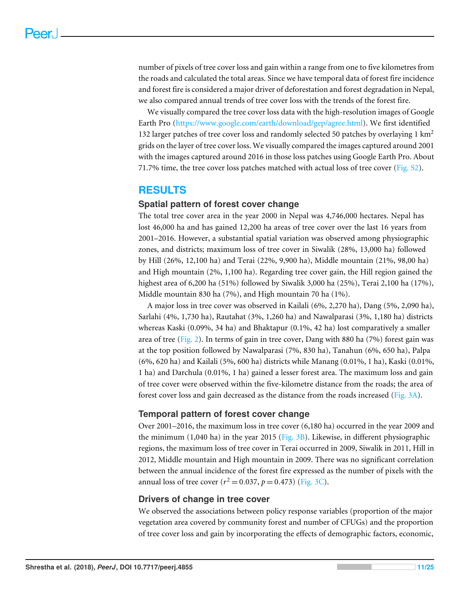number of pixels of tree cover loss and gain within a range from one to five kilometres from the roads and calculated the total areas. Since we have temporal data of forest fire incidence and forest fire is considered a major driver of deforestation and forest degradation in Nepal, we also compared annual trends of tree cover loss with the trends of the forest fire.

We visually compared the tree cover loss data with the high-resolution images of Google Earth Pro [\(https://www.google.com/earth/download/gep/agree.html\)](https://www.google.com/earth/download/gep/agree.html). We first identified 132 larger patches of tree cover loss and randomly selected 50 patches by overlaying 1  $km<sup>2</sup>$ grids on the layer of tree cover loss. We visually compared the images captured around 2001 with the images captured around 2016 in those loss patches using Google Earth Pro. About 71.7% time, the tree cover loss patches matched with actual loss of tree cover (Fig.  $S2$ ).

# **RESULTS**

# **Spatial pattern of forest cover change**

The total tree cover area in the year 2000 in Nepal was 4,746,000 hectares. Nepal has lost 46,000 ha and has gained 12,200 ha areas of tree cover over the last 16 years from 2001–2016. However, a substantial spatial variation was observed among physiographic zones, and districts; maximum loss of tree cover in Siwalik (28%, 13,000 ha) followed by Hill (26%, 12,100 ha) and Terai (22%, 9,900 ha), Middle mountain (21%, 98,00 ha) and High mountain (2%, 1,100 ha). Regarding tree cover gain, the Hill region gained the highest area of 6,200 ha (51%) followed by Siwalik 3,000 ha (25%), Terai 2,100 ha (17%), Middle mountain 830 ha (7%), and High mountain 70 ha (1%).

A major loss in tree cover was observed in Kailali (6%, 2,270 ha), Dang (5%, 2,090 ha), Sarlahi (4%, 1,730 ha), Rautahat (3%, 1,260 ha) and Nawalparasi (3%, 1,180 ha) districts whereas Kaski (0.09%, 34 ha) and Bhaktapur (0.1%, 42 ha) lost comparatively a smaller area of tree [\(Fig. 2\)](#page-11-0). In terms of gain in tree cover, Dang with 880 ha (7%) forest gain was at the top position followed by Nawalparasi (7%, 830 ha), Tanahun (6%, 650 ha), Palpa (6%, 620 ha) and Kailali (5%, 600 ha) districts while Manang (0.01%, 1 ha), Kaski (0.01%, 1 ha) and Darchula (0.01%, 1 ha) gained a lesser forest area. The maximum loss and gain of tree cover were observed within the five-kilometre distance from the roads; the area of forest cover loss and gain decreased as the distance from the roads increased [\(Fig. 3A\)](#page-12-0).

# **Temporal pattern of forest cover change**

Over 2001–2016, the maximum loss in tree cover (6,180 ha) occurred in the year 2009 and the minimum  $(1,040 \text{ ha})$  in the year 2015 [\(Fig. 3B\)](#page-12-0). Likewise, in different physiographic regions, the maximum loss of tree cover in Terai occurred in 2009, Siwalik in 2011, Hill in 2012, Middle mountain and High mountain in 2009. There was no significant correlation between the annual incidence of the forest fire expressed as the number of pixels with the annual loss of tree cover  $(r^2 = 0.037, p = 0.473)$  [\(Fig. 3C\)](#page-12-0).

# **Drivers of change in tree cover**

We observed the associations between policy response variables (proportion of the major vegetation area covered by community forest and number of CFUGs) and the proportion of tree cover loss and gain by incorporating the effects of demographic factors, economic,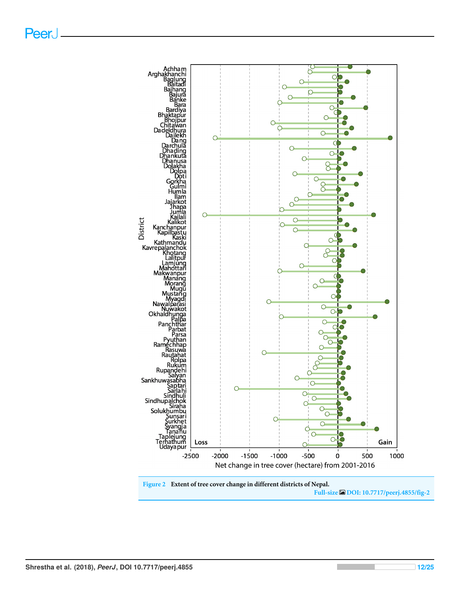<span id="page-11-0"></span>

**Full-size [DOI: 10.7717/peerj.4855/fig-2](https://doi.org/10.7717/peerj.4855/fig-2)**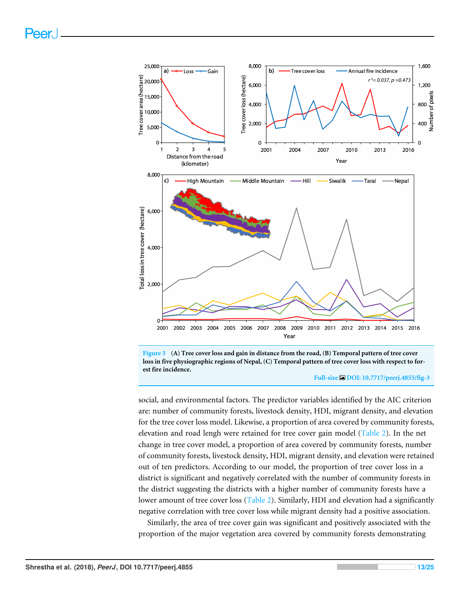<span id="page-12-0"></span>

**Figure 3 (A) Tree cover loss and gain in distance from the road, (B) Temporal pattern of tree cover loss in five physiographic regions of Nepal, (C) Temporal pattern of tree cover loss with respect to forest fire incidence.**

#### **Full-size [DOI: 10.7717/peerj.4855/fig-3](https://doi.org/10.7717/peerj.4855/fig-3)**

social, and environmental factors. The predictor variables identified by the AIC criterion are: number of community forests, livestock density, HDI, migrant density, and elevation for the tree cover loss model. Likewise, a proportion of area covered by community forests, elevation and road lengh were retained for tree cover gain model [\(Table 2\)](#page-13-0). In the net change in tree cover model, a proportion of area covered by community forests, number of community forests, livestock density, HDI, migrant density, and elevation were retained out of ten predictors. According to our model, the proportion of tree cover loss in a district is significant and negatively correlated with the number of community forests in the district suggesting the districts with a higher number of community forests have a lower amount of tree cover loss [\(Table 2\)](#page-13-0). Similarly, HDI and elevation had a significantly negative correlation with tree cover loss while migrant density had a positive association.

Similarly, the area of tree cover gain was significant and positively associated with the proportion of the major vegetation area covered by community forests demonstrating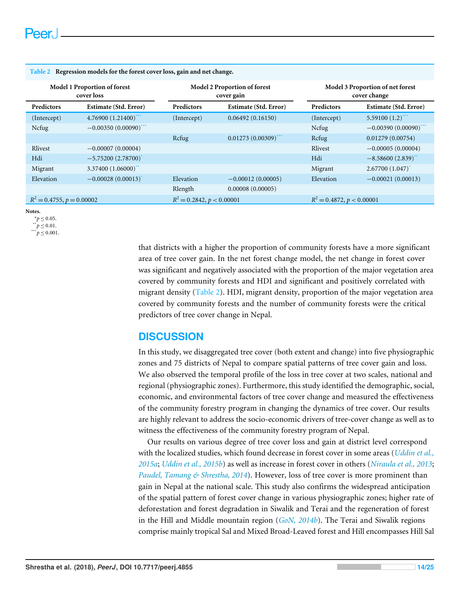| Model 1 Proportion of forest<br>cover loss |                         | <b>Model 2 Proportion of forest</b><br>cover gain |                                |             | Model 3 Proportion of net forest<br>cover change |  |
|--------------------------------------------|-------------------------|---------------------------------------------------|--------------------------------|-------------|--------------------------------------------------|--|
| <b>Predictors</b>                          | Estimate (Std. Error)   | <b>Predictors</b>                                 | Estimate (Std. Error)          | Predictors  | Estimate (Std. Error)                            |  |
| (Intercept)                                | 4.76900 (1.21400)       | (Intercept)                                       | 0.06492(0.16150)               | (Intercept) | 5.59100 $(1.2)$ ***                              |  |
| Ncfug                                      | $-0.00350(0.00090)$ *** |                                                   |                                | Ncfug       | $-0.00390(0.00090)^{**}$                         |  |
|                                            |                         | Rcfug                                             | $0.01273(0.00309)^{***}$       | Rcfug       | 0.01279(0.00754)                                 |  |
| Rlivest                                    | $-0.00007(0.00004)$     |                                                   |                                | Rlivest     | $-0.00005(0.00004)$                              |  |
| Hdi                                        | $-5.75200(2.78700)$     |                                                   |                                | Hdi         | $-8.58600(2.839)$                                |  |
| Migrant                                    | 3.37400(1.06000)        |                                                   |                                | Migrant     | 2.67700(1.047)                                   |  |
| Elevation                                  | $-0.00028(0.00013)$     | Elevation                                         | $-0.00012(0.00005)$            | Elevation   | $-0.00021(0.00013)$                              |  |
|                                            |                         | Rlength                                           | 0.00008(0.00005)               |             |                                                  |  |
| $R^2 = 0.4755$ , $p = 0.00002$             |                         |                                                   | $R^2 = 0.2842$ , $p < 0.00001$ |             | $R^2 = 0.4872$ , $p < 0.00001$                   |  |

#### <span id="page-13-0"></span>**Table 2 Regression models for the forest cover loss, gain and net change.**

<span id="page-13-2"></span>**Notes.**

<span id="page-13-3"></span><span id="page-13-1"></span> $*_{p} \leq 0.05$ .  $p^*$   $p \leq 0.01$ .  $p^*$   $\leq 0.001$ .

> that districts with a higher the proportion of community forests have a more significant area of tree cover gain. In the net forest change model, the net change in forest cover was significant and negatively associated with the proportion of the major vegetation area covered by community forests and HDI and significant and positively correlated with migrant density [\(Table 2\)](#page-13-0). HDI, migrant density, proportion of the major vegetation area covered by community forests and the number of community forests were the critical predictors of tree cover change in Nepal.

# **DISCUSSION**

In this study, we disaggregated tree cover (both extent and change) into five physiographic zones and 75 districts of Nepal to compare spatial patterns of tree cover gain and loss. We also observed the temporal profile of the loss in tree cover at two scales, national and regional (physiographic zones). Furthermore, this study identified the demographic, social, economic, and environmental factors of tree cover change and measured the effectiveness of the community forestry program in changing the dynamics of tree cover. Our results are highly relevant to address the socio-economic drivers of tree-cover change as well as to witness the effectiveness of the community forestry program of Nepal.

Our results on various degree of tree cover loss and gain at district level correspond with the localized studies, which found decrease in forest cover in some areas (*[Uddin et al.,](#page-23-7) [2015a](#page-23-7)*; *[Uddin et al., 2015b](#page-23-8)*) as well as increase in forest cover in others (*[Niraula et al., 2013](#page-22-7)*; *[Paudel, Tamang & Shrestha, 2014](#page-22-10)*). However, loss of tree cover is more prominent than gain in Nepal at the national scale. This study also confirms the widespread anticipation of the spatial pattern of forest cover change in various physiographic zones; higher rate of deforestation and forest degradation in Siwalik and Terai and the regeneration of forest in the Hill and Middle mountain region (*[GoN,](#page-19-3) [2014b](#page-19-3)*). The Terai and Siwalik regions comprise mainly tropical Sal and Mixed Broad-Leaved forest and Hill encompasses Hill Sal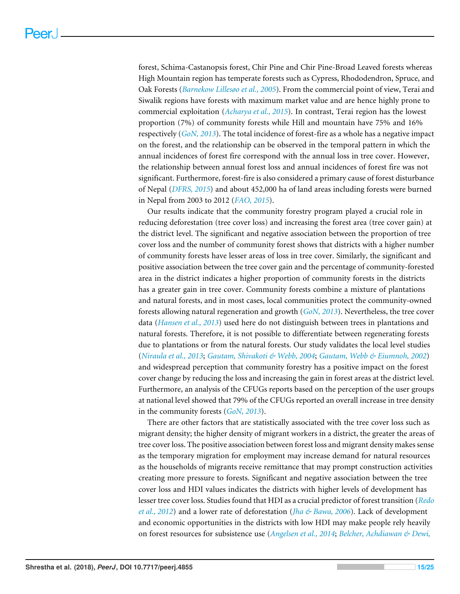forest, Schima-Castanopsis forest, Chir Pine and Chir Pine-Broad Leaved forests whereas High Mountain region has temperate forests such as Cypress, Rhododendron, Spruce, and Oak Forests (*[Barnekow Lillesøo et al., 2005](#page-18-10)*). From the commercial point of view, Terai and Siwalik regions have forests with maximum market value and are hence highly prone to commercial exploitation (*[Acharya et al., 2015](#page-17-3)*). In contrast, Terai region has the lowest proportion (7%) of community forests while Hill and mountain have 75% and 16% respectively (*[GoN, 2013](#page-20-12)*). The total incidence of forest-fire as a whole has a negative impact on the forest, and the relationship can be observed in the temporal pattern in which the annual incidences of forest fire correspond with the annual loss in tree cover. However, the relationship between annual forest loss and annual incidences of forest fire was not significant. Furthermore, forest-fire is also considered a primary cause of forest disturbance of Nepal (*[DFRS, 2015](#page-20-4)*) and about 452,000 ha of land areas including forests were burned in Nepal from 2003 to 2012 (*[FAO, 2015](#page-19-2)*).

Our results indicate that the community forestry program played a crucial role in reducing deforestation (tree cover loss) and increasing the forest area (tree cover gain) at the district level. The significant and negative association between the proportion of tree cover loss and the number of community forest shows that districts with a higher number of community forests have lesser areas of loss in tree cover. Similarly, the significant and positive association between the tree cover gain and the percentage of community-forested area in the district indicates a higher proportion of community forests in the districts has a greater gain in tree cover. Community forests combine a mixture of plantations and natural forests, and in most cases, local communities protect the community-owned forests allowing natural regeneration and growth (*[GoN, 2013](#page-20-12)*). Nevertheless, the tree cover data (*[Hansen et al., 2013](#page-20-0)*) used here do not distinguish between trees in plantations and natural forests. Therefore, it is not possible to differentiate between regenerating forests due to plantations or from the natural forests. Our study validates the local level studies (*[Niraula et al., 2013](#page-22-7)*; *[Gautam, Shivakoti & Webb, 2004](#page-19-12)*; *[Gautam, Webb & Eiumnoh, 2002](#page-19-9)*) and widespread perception that community forestry has a positive impact on the forest cover change by reducing the loss and increasing the gain in forest areas at the district level. Furthermore, an analysis of the CFUGs reports based on the perception of the user groups at national level showed that 79% of the CFUGs reported an overall increase in tree density in the community forests (*[GoN, 2013](#page-20-12)*).

There are other factors that are statistically associated with the tree cover loss such as migrant density; the higher density of migrant workers in a district, the greater the areas of tree cover loss. The positive association between forest loss and migrant density makes sense as the temporary migration for employment may increase demand for natural resources as the households of migrants receive remittance that may prompt construction activities creating more pressure to forests. Significant and negative association between the tree cover loss and HDI values indicates the districts with higher levels of development has lesser tree cover loss. Studies found that HDI as a crucial predictor of forest transition (*[Redo](#page-23-11) [et al., 2012](#page-23-11)*) and a lower rate of deforestation (*[Jha & Bawa, 2006](#page-20-9)*). Lack of development and economic opportunities in the districts with low HDI may make people rely heavily on forest resources for subsistence use (*[Angelsen et al., 2014](#page-18-11)*; *[Belcher, Achdiawan & Dewi,](#page-18-12)*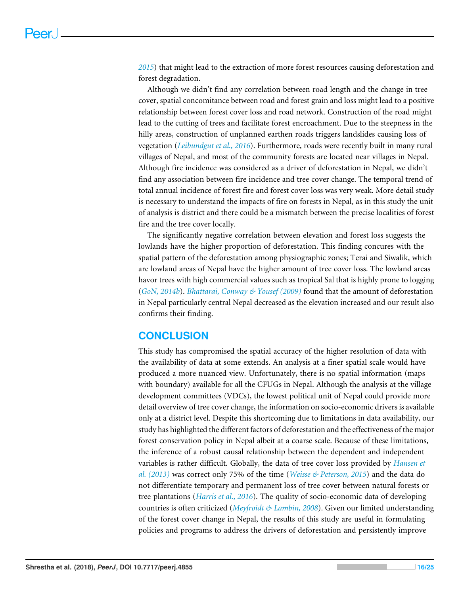*[2015](#page-18-12)*) that might lead to the extraction of more forest resources causing deforestation and forest degradation.

Although we didn't find any correlation between road length and the change in tree cover, spatial concomitance between road and forest grain and loss might lead to a positive relationship between forest cover loss and road network. Construction of the road might lead to the cutting of trees and facilitate forest encroachment. Due to the steepness in the hilly areas, construction of unplanned earthen roads triggers landslides causing loss of vegetation (*[Leibundgut et al., 2016](#page-21-13)*). Furthermore, roads were recently built in many rural villages of Nepal, and most of the community forests are located near villages in Nepal. Although fire incidence was considered as a driver of deforestation in Nepal, we didn't find any association between fire incidence and tree cover change. The temporal trend of total annual incidence of forest fire and forest cover loss was very weak. More detail study is necessary to understand the impacts of fire on forests in Nepal, as in this study the unit of analysis is district and there could be a mismatch between the precise localities of forest fire and the tree cover locally.

The significantly negative correlation between elevation and forest loss suggests the lowlands have the higher proportion of deforestation. This finding concures with the spatial pattern of the deforestation among physiographic zones; Terai and Siwalik, which are lowland areas of Nepal have the higher amount of tree cover loss. The lowland areas havor trees with high commercial values such as tropical Sal that is highly prone to logging (*[GoN, 2014b](#page-20-1)*). *[Bhattarai, Conway & Yousef \(2009\)](#page-18-13)* found that the amount of deforestation in Nepal particularly central Nepal decreased as the elevation increased and our result also confirms their finding.

# **CONCLUSION**

This study has compromised the spatial accuracy of the higher resolution of data with the availability of data at some extends. An analysis at a finer spatial scale would have produced a more nuanced view. Unfortunately, there is no spatial information (maps with boundary) available for all the CFUGs in Nepal. Although the analysis at the village development committees (VDCs), the lowest political unit of Nepal could provide more detail overview of tree cover change, the information on socio-economic drivers is available only at a district level. Despite this shortcoming due to limitations in data availability, our study has highlighted the different factors of deforestation and the effectiveness of the major forest conservation policy in Nepal albeit at a coarse scale. Because of these limitations, the inference of a robust causal relationship between the dependent and independent variables is rather difficult. Globally, the data of tree cover loss provided by *[Hansen et](#page-20-0) [al. \(2013\)](#page-20-0)* was correct only 75% of the time (*[Weisse & Peterson, 2015](#page-24-1)*) and the data do not differentiate temporary and permanent loss of tree cover between natural forests or tree plantations (*[Harris et al., 2016](#page-20-10)*). The quality of socio-economic data of developing countries is often criticized (*[Meyfroidt & Lambin, 2008](#page-21-14)*). Given our limited understanding of the forest cover change in Nepal, the results of this study are useful in formulating policies and programs to address the drivers of deforestation and persistently improve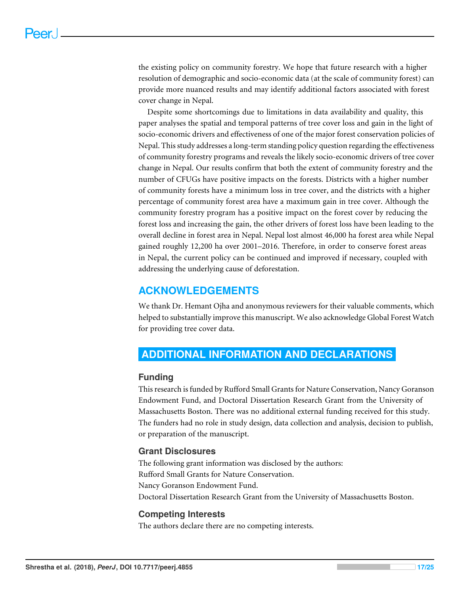the existing policy on community forestry. We hope that future research with a higher resolution of demographic and socio-economic data (at the scale of community forest) can provide more nuanced results and may identify additional factors associated with forest cover change in Nepal.

Despite some shortcomings due to limitations in data availability and quality, this paper analyses the spatial and temporal patterns of tree cover loss and gain in the light of socio-economic drivers and effectiveness of one of the major forest conservation policies of Nepal. This study addresses a long-term standing policy question regarding the effectiveness of community forestry programs and reveals the likely socio-economic drivers of tree cover change in Nepal. Our results confirm that both the extent of community forestry and the number of CFUGs have positive impacts on the forests. Districts with a higher number of community forests have a minimum loss in tree cover, and the districts with a higher percentage of community forest area have a maximum gain in tree cover. Although the community forestry program has a positive impact on the forest cover by reducing the forest loss and increasing the gain, the other drivers of forest loss have been leading to the overall decline in forest area in Nepal. Nepal lost almost 46,000 ha forest area while Nepal gained roughly 12,200 ha over 2001–2016. Therefore, in order to conserve forest areas in Nepal, the current policy can be continued and improved if necessary, coupled with addressing the underlying cause of deforestation.

# **ACKNOWLEDGEMENTS**

We thank Dr. Hemant Ojha and anonymous reviewers for their valuable comments, which helped to substantially improve this manuscript. We also acknowledge Global Forest Watch for providing tree cover data.

# <span id="page-16-0"></span>**ADDITIONAL INFORMATION AND DECLARATIONS**

# **Funding**

This research is funded by Rufford Small Grants for Nature Conservation, Nancy Goranson Endowment Fund, and Doctoral Dissertation Research Grant from the University of Massachusetts Boston. There was no additional external funding received for this study. The funders had no role in study design, data collection and analysis, decision to publish, or preparation of the manuscript.

# **Grant Disclosures**

The following grant information was disclosed by the authors: Rufford Small Grants for Nature Conservation. Nancy Goranson Endowment Fund. Doctoral Dissertation Research Grant from the University of Massachusetts Boston.

# **Competing Interests**

The authors declare there are no competing interests.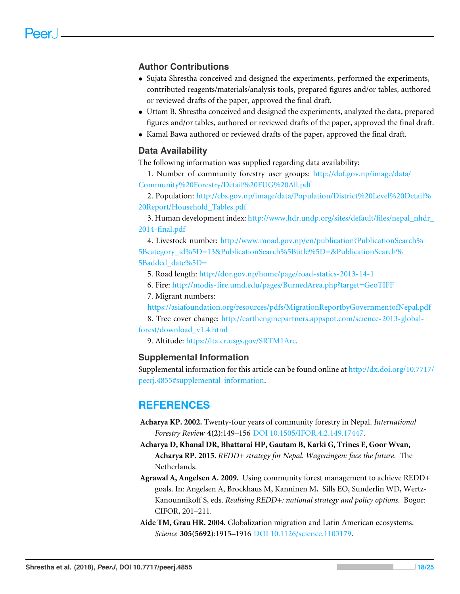# **Author Contributions**

- [Sujata Shrestha](#page-0-3) conceived and designed the experiments, performed the experiments, contributed reagents/materials/analysis tools, prepared figures and/or tables, authored or reviewed drafts of the paper, approved the final draft.
- [Uttam B. Shrestha](#page-0-4) conceived and designed the experiments, analyzed the data, prepared figures and/or tables, authored or reviewed drafts of the paper, approved the final draft.
- [Kamal Bawa](#page-0-5) authored or reviewed drafts of the paper, approved the final draft.

### **Data Availability**

The following information was supplied regarding data availability:

1. Number of community forestry user groups: [http://dof.gov.np/image/data/](http://dof.gov.np/image/data/Community%20Forestry/Detail%20FUG%20All.pdf) [Community%20Forestry/Detail%20FUG%20All.pdf](http://dof.gov.np/image/data/Community%20Forestry/Detail%20FUG%20All.pdf)

2. Population: [http://cbs.gov.np/image/data/Population/District%20Level%20Detail%](http://cbs.gov.np/image/data/Population/District%20Level%20Detail%20Report/Household_Tables.pdf) [20Report/Household\\_Tables.pdf](http://cbs.gov.np/image/data/Population/District%20Level%20Detail%20Report/Household_Tables.pdf)

3. Human development index: [http://www.hdr.undp.org/sites/default/files/nepal\\_nhdr\\_](http://www.hdr.undp.org/sites/default/files/nepal_nhdr_2014-final.pdf) [2014-final.pdf](http://www.hdr.undp.org/sites/default/files/nepal_nhdr_2014-final.pdf)

4. Livestock number: [http://www.moad.gov.np/en/publication?PublicationSearch%](http://www.moad.gov.np/en/publication?PublicationSearch%5Bcategory_id%5D=13&PublicationSearch%5Btitle%5D=&PublicationSearch%5Badded_date%5D=) [5Bcategory\\_id%5D=13&PublicationSearch%5Btitle%5D=&PublicationSearch%](http://www.moad.gov.np/en/publication?PublicationSearch%5Bcategory_id%5D=13&PublicationSearch%5Btitle%5D=&PublicationSearch%5Badded_date%5D=) 5Badded date%5D=

5. Road length: <http://dor.gov.np/home/page/road-statics-2013-14-1>

6. Fire: <http://modis-fire.umd.edu/pages/BurnedArea.php?target=GeoTIFF>

7. Migrant numbers:

<https://asiafoundation.org/resources/pdfs/MigrationReportbyGovernmentofNepal.pdf>

8. Tree cover change: [http://earthenginepartners.appspot.com/science-2013-global](http://earthenginepartners.appspot.com/science-2013-global-forest/download_v1.4.html)[forest/download\\_v1.4.html](http://earthenginepartners.appspot.com/science-2013-global-forest/download_v1.4.html)

9. Altitude: [https://lta.cr.usgs.gov/SRTM1Arc.](https://lta.cr.usgs.gov/SRTM1Arc)

### **Supplemental Information**

Supplemental information for this article can be found online at [http://dx.doi.org/10.7717/](http://dx.doi.org/10.7717/peerj.4855#supplemental-information) [peerj.4855#supplemental-information.](http://dx.doi.org/10.7717/peerj.4855#supplemental-information)

# **REFERENCES**

- <span id="page-17-2"></span>**Acharya KP. 2002.** Twenty-four years of community forestry in Nepal. *International Forestry Review* **4(2)**:149–156 [DOI 10.1505/IFOR.4.2.149.17447.](http://dx.doi.org/10.1505/IFOR.4.2.149.17447)
- <span id="page-17-3"></span>**Acharya D, Khanal DR, Bhattarai HP, Gautam B, Karki G, Trines E, Goor Wvan, Acharya RP. 2015.** *REDD+ strategy for Nepal. Wageningen: face the future*. The Netherlands.

<span id="page-17-1"></span>**Agrawal A, Angelsen A. 2009.** Using community forest management to achieve REDD+ goals. In: Angelsen A, Brockhaus M, Kanninen M, Sills EO, Sunderlin WD, Wertz-Kanounnikoff S, eds. *Realising REDD+: national strategy and policy options*. Bogor: CIFOR, 201–211.

<span id="page-17-0"></span>**Aide TM, Grau HR. 2004.** Globalization migration and Latin American ecosystems. *Science* **305(5692)**:1915–1916 [DOI 10.1126/science.1103179.](http://dx.doi.org/10.1126/science.1103179)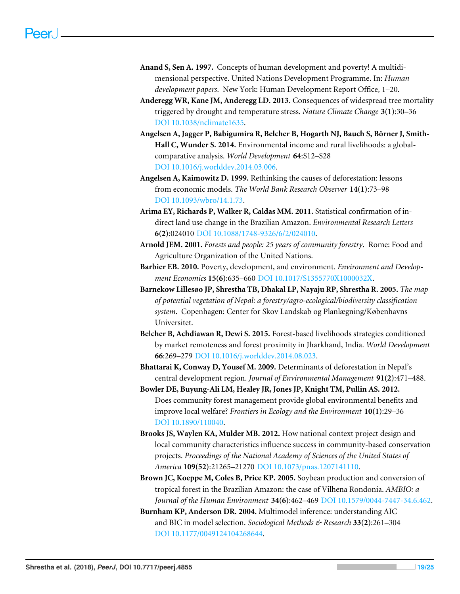- <span id="page-18-7"></span>**Anand S, Sen A. 1997.** Concepts of human development and poverty! A multidimensional perspective. United Nations Development Programme. In: *Human development papers*. New York: Human Development Report Office, 1–20.
- <span id="page-18-0"></span>**Anderegg WR, Kane JM, Anderegg LD. 2013.** Consequences of widespread tree mortality triggered by drought and temperature stress. *Nature Climate Change* **3(1)**:30–36 [DOI 10.1038/nclimate1635.](http://dx.doi.org/10.1038/nclimate1635)
- <span id="page-18-11"></span>**Angelsen A, Jagger P, Babigumira R, Belcher B, Hogarth NJ, Bauch S, Börner J, Smith-Hall C, Wunder S. 2014.** Environmental income and rural livelihoods: a globalcomparative analysis. *World Development* **64**:S12–S28 [DOI 10.1016/j.worlddev.2014.03.006.](http://dx.doi.org/10.1016/j.worlddev.2014.03.006)
- <span id="page-18-1"></span>**Angelsen A, Kaimowitz D. 1999.** Rethinking the causes of deforestation: lessons from economic models. *The World Bank Research Observer* **14(1)**:73–98 [DOI 10.1093/wbro/14.1.73.](http://dx.doi.org/10.1093/wbro/14.1.73)
- <span id="page-18-3"></span>**Arima EY, Richards P, Walker R, Caldas MM. 2011.** Statistical confirmation of indirect land use change in the Brazilian Amazon. *Environmental Research Letters* **6(2)**:024010 [DOI 10.1088/1748-9326/6/2/024010.](http://dx.doi.org/10.1088/1748-9326/6/2/024010)
- <span id="page-18-5"></span>**Arnold JEM. 2001.** *Forests and people: 25 years of community forestry*. Rome: Food and Agriculture Organization of the United Nations.
- <span id="page-18-8"></span>**Barbier EB. 2010.** Poverty, development, and environment. *Environment and Development Economics* **15(6)**:635–660 [DOI 10.1017/S1355770X1000032X.](http://dx.doi.org/10.1017/S1355770X1000032X)
- <span id="page-18-10"></span>**Barnekow Lillesøo JP, Shrestha TB, Dhakal LP, Nayaju RP, Shrestha R. 2005.** *The map of potential vegetation of Nepal: a forestry/agro-ecological/biodiversity classification system*. Copenhagen: Center for Skov Landskab og Planlægning/Københavns Universitet.
- <span id="page-18-12"></span>**Belcher B, Achdiawan R, Dewi S. 2015.** Forest-based livelihoods strategies conditioned by market remoteness and forest proximity in Jharkhand, India. *World Development* **66**:269–279 [DOI 10.1016/j.worlddev.2014.08.023.](http://dx.doi.org/10.1016/j.worlddev.2014.08.023)
- <span id="page-18-13"></span>**Bhattarai K, Conway D, Yousef M. 2009.** Determinants of deforestation in Nepal's central development region. *Journal of Environmental Management* **91(2)**:471–488.
- <span id="page-18-6"></span>**Bowler DE, Buyung-Ali LM, Healey JR, Jones JP, Knight TM, Pullin AS. 2012.** Does community forest management provide global environmental benefits and improve local welfare? *Frontiers in Ecology and the Environment* **10(1)**:29–36 [DOI 10.1890/110040.](http://dx.doi.org/10.1890/110040)
- <span id="page-18-4"></span>**Brooks JS, Waylen KA, Mulder MB. 2012.** How national context project design and local community characteristics influence success in community-based conservation projects. *Proceedings of the National Academy of Sciences of the United States of America* **109(52)**:21265–21270 [DOI 10.1073/pnas.1207141110.](http://dx.doi.org/10.1073/pnas.1207141110)
- <span id="page-18-2"></span>**Brown JC, Koeppe M, Coles B, Price KP. 2005.** Soybean production and conversion of tropical forest in the Brazilian Amazon: the case of Vilhena Rondonia. *AMBIO: a Journal of the Human Environment* **34(6)**:462–469 [DOI 10.1579/0044-7447-34.6.462.](http://dx.doi.org/10.1579/0044-7447-34.6.462)
- <span id="page-18-9"></span>**Burnham KP, Anderson DR. 2004.** Multimodel inference: understanding AIC and BIC in model selection. *Sociological Methods & Research* **33(2)**:261–304 [DOI 10.1177/0049124104268644.](http://dx.doi.org/10.1177/0049124104268644)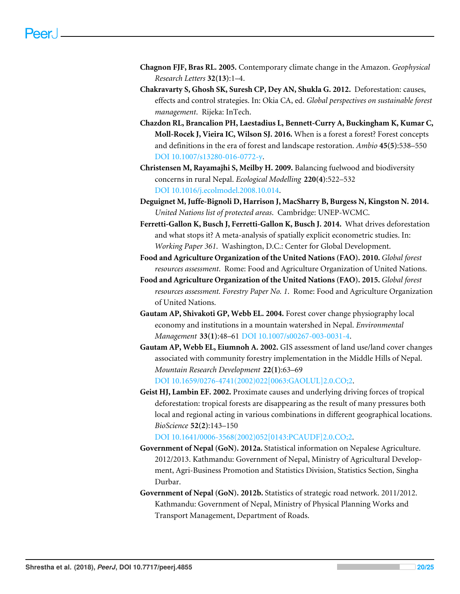- <span id="page-19-0"></span>**Chagnon FJF, Bras RL. 2005.** Contemporary climate change in the Amazon. *Geophysical Research Letters* **32(13)**:1–4.
- <span id="page-19-7"></span>**Chakravarty S, Ghosh SK, Suresh CP, Dey AN, Shukla G. 2012.** Deforestation: causes, effects and control strategies. In: Okia CA, ed. *Global perspectives on sustainable forest management*. Rijeka: InTech.
- <span id="page-19-6"></span>**Chazdon RL, Brancalion PH, Laestadius L, Bennett-Curry A, Buckingham K, Kumar C, Moll-Rocek J, Vieira IC, Wilson SJ. 2016.** When is a forest a forest? Forest concepts and definitions in the era of forest and landscape restoration. *Ambio* **45(5)**:538–550 [DOI 10.1007/s13280-016-0772-y.](http://dx.doi.org/10.1007/s13280-016-0772-y)
- <span id="page-19-10"></span>**Christensen M, Rayamajhi S, Meilby H. 2009.** Balancing fuelwood and biodiversity concerns in rural Nepal. *Ecological Modelling* **220(4)**:522–532 [DOI 10.1016/j.ecolmodel.2008.10.014.](http://dx.doi.org/10.1016/j.ecolmodel.2008.10.014)
- <span id="page-19-5"></span>**Deguignet M, Juffe-Bignoli D, Harrison J, MacSharry B, Burgess N, Kingston N. 2014.** *United Nations list of protected areas*. Cambridge: UNEP-WCMC.
- <span id="page-19-4"></span>**Ferretti-Gallon K, Busch J, Ferretti-Gallon K, Busch J. 2014.** What drives deforestation and what stops it? A meta-analysis of spatially explicit econometric studies. In: *Working Paper 361*. Washington, D.C.: Center for Global Development.
- <span id="page-19-1"></span>**Food and Agriculture Organization of the United Nations (FAO). 2010.** *Global forest resources assessment*. Rome: Food and Agriculture Organization of United Nations.
- <span id="page-19-2"></span>**Food and Agriculture Organization of the United Nations (FAO). 2015.** *Global forest resources assessment. Forestry Paper No. 1*. Rome: Food and Agriculture Organization of United Nations.
- <span id="page-19-12"></span>**Gautam AP, Shivakoti GP, Webb EL. 2004.** Forest cover change physiography local economy and institutions in a mountain watershed in Nepal. *Environmental Management* **33(1)**:48–61 [DOI 10.1007/s00267-003-0031-4.](http://dx.doi.org/10.1007/s00267-003-0031-4)
- <span id="page-19-9"></span>**Gautam AP, Webb EL, Eiumnoh A. 2002.** GIS assessment of land use/land cover changes associated with community forestry implementation in the Middle Hills of Nepal. *Mountain Research Development* **22(1)**:63–69 [DOI 10.1659/0276-4741\(2002\)022\[0063:GAOLUL\]2.0.CO;2.](http://dx.doi.org/10.1659/0276-4741(2002)022[0063:GAOLUL]2.0.CO;2)
- <span id="page-19-3"></span>**Geist HJ, Lambin EF. 2002.** Proximate causes and underlying driving forces of tropical deforestation: tropical forests are disappearing as the result of many pressures both local and regional acting in various combinations in different geographical locations. *BioScience* **52(2)**:143–150

[DOI 10.1641/0006-3568\(2002\)052\[0143:PCAUDF\]2.0.CO;2.](http://dx.doi.org/10.1641/0006-3568(2002)052[0143:PCAUDF]2.0.CO;2)

- <span id="page-19-8"></span>**Government of Nepal (GoN). 2012a.** Statistical information on Nepalese Agriculture. 2012/2013. Kathmandu: Government of Nepal, Ministry of Agricultural Development, Agri-Business Promotion and Statistics Division, Statistics Section, Singha Durbar.
- <span id="page-19-11"></span>**Government of Nepal (GoN). 2012b.** Statistics of strategic road network. 2011/2012. Kathmandu: Government of Nepal, Ministry of Physical Planning Works and Transport Management, Department of Roads.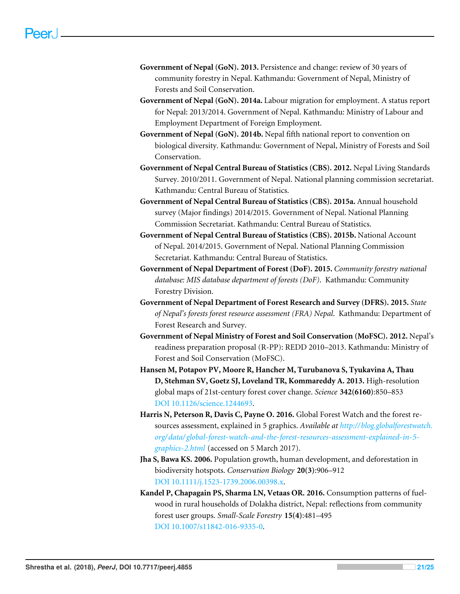- <span id="page-20-12"></span>**Government of Nepal (GoN). 2013.** Persistence and change: review of 30 years of community forestry in Nepal. Kathmandu: Government of Nepal, Ministry of Forests and Soil Conservation.
- <span id="page-20-8"></span>**Government of Nepal (GoN). 2014a.** Labour migration for employment. A status report for Nepal: 2013/2014. Government of Nepal. Kathmandu: Ministry of Labour and Employment Department of Foreign Employment.
- <span id="page-20-1"></span>**Government of Nepal (GoN). 2014b.** Nepal fifth national report to convention on biological diversity. Kathmandu: Government of Nepal, Ministry of Forests and Soil Conservation.
- <span id="page-20-7"></span>**Government of Nepal Central Bureau of Statistics (CBS). 2012.** Nepal Living Standards Survey. 2010/2011. Government of Nepal. National planning commission secretariat. Kathmandu: Central Bureau of Statistics.
- <span id="page-20-6"></span>**Government of Nepal Central Bureau of Statistics (CBS). 2015a.** Annual household survey (Major findings) 2014/2015. Government of Nepal. National Planning Commission Secretariat. Kathmandu: Central Bureau of Statistics.
- <span id="page-20-5"></span>**Government of Nepal Central Bureau of Statistics (CBS). 2015b.** National Account of Nepal. 2014/2015. Government of Nepal. National Planning Commission Secretariat. Kathmandu: Central Bureau of Statistics.
- <span id="page-20-2"></span>**Government of Nepal Department of Forest (DoF). 2015.** *Community forestry national database: MIS database department of forests (DoF)*. Kathmandu: Community Forestry Division.
- <span id="page-20-4"></span>**Government of Nepal Department of Forest Research and Survey (DFRS). 2015.** *State of Nepal's forests forest resource assessment (FRA) Nepal*. Kathmandu: Department of Forest Research and Survey.
- <span id="page-20-3"></span>**Government of Nepal Ministry of Forest and Soil Conservation (MoFSC). 2012.** Nepal's readiness preparation proposal (R-PP): REDD 2010–2013. Kathmandu: Ministry of Forest and Soil Conservation (MoFSC).
- <span id="page-20-0"></span>**Hansen M, Potapov PV, Moore R, Hancher M, Turubanova S, Tyukavina A, Thau D, Stehman SV, Goetz SJ, Loveland TR, Kommareddy A. 2013.** High-resolution global maps of 21st-century forest cover change. *Science* **342(6160)**:850–853 [DOI 10.1126/science.1244693.](http://dx.doi.org/10.1126/science.1244693)
- <span id="page-20-10"></span>**Harris N, Peterson R, Davis C, Payne O. 2016.** Global Forest Watch and the forest resources assessment, explained in 5 graphics. *Available at [http:// blog.globalforestwatch.](http://blog.globalforestwatch.org/data/global-forest-watch-and-the-forest-resources-assessment-explained-in-5-graphics-2.html) [org/data/ global-forest-watch-and-the-forest-resources-assessment-explained-in-5](http://blog.globalforestwatch.org/data/global-forest-watch-and-the-forest-resources-assessment-explained-in-5-graphics-2.html) [graphics-2.html](http://blog.globalforestwatch.org/data/global-forest-watch-and-the-forest-resources-assessment-explained-in-5-graphics-2.html)* (accessed on 5 March 2017).
- <span id="page-20-9"></span>**Jha S, Bawa KS. 2006.** Population growth, human development, and deforestation in biodiversity hotspots. *Conservation Biology* **20(3)**:906–912 [DOI 10.1111/j.1523-1739.2006.00398.x.](http://dx.doi.org/10.1111/j.1523-1739.2006.00398.x)
- <span id="page-20-11"></span>**Kandel P, Chapagain PS, Sharma LN, Vetaas OR. 2016.** Consumption patterns of fuelwood in rural households of Dolakha district, Nepal: reflections from community forest user groups. *Small-Scale Forestry* **15(4)**:481–495 [DOI 10.1007/s11842-016-9335-0.](http://dx.doi.org/10.1007/s11842-016-9335-0)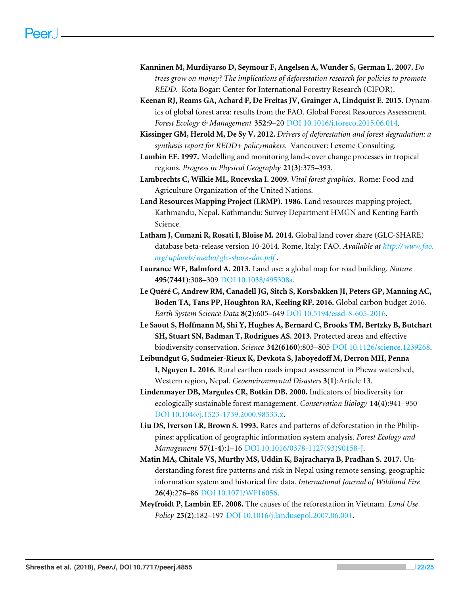- <span id="page-21-5"></span>**Kanninen M, Murdiyarso D, Seymour F, Angelsen A, Wunder S, German L. 2007.** *Do trees grow on money? The implications of deforestation research for policies to promote REDD*. Kota Bogar: Center for International Forestry Research (CIFOR).
- <span id="page-21-2"></span>**Keenan RJ, Reams GA, Achard F, De Freitas JV, Grainger A, Lindquist E. 2015.** Dynamics of global forest area: results from the FAO. Global Forest Resources Assessment. *Forest Ecology & Management* **352**:9–20 [DOI 10.1016/j.foreco.2015.06.014.](http://dx.doi.org/10.1016/j.foreco.2015.06.014)
- <span id="page-21-4"></span>**Kissinger GM, Herold M, De Sy V. 2012.** *Drivers of deforestation and forest degradation: a synthesis report for REDD+ policymakers*. Vancouver: Lexeme Consulting.
- <span id="page-21-12"></span>**Lambin EF. 1997.** Modelling and monitoring land-cover change processes in tropical regions. *Progress in Physical Geography* **21(3)**:375–393.
- <span id="page-21-0"></span>**Lambrechts C, Wilkie ML, Rucevska I. 2009.** *Vital forest graphics*. Rome: Food and Agriculture Organization of the United Nations.
- <span id="page-21-8"></span>**Land Resources Mapping Project (LRMP). 1986.** Land resources mapping project, Kathmandu, Nepal. Kathmandu: Survey Department HMGN and Kenting Earth Science.
- <span id="page-21-9"></span>**Latham J, Cumani R, Rosati I, Bloise M. 2014.** Global land cover share (GLC-SHARE) database beta-release version 10-2014. Rome, Italy: FAO. *Available at [http://www.fao.](http://www.fao.org/uploads/media/glc-share-doc.pdf) [org/ uploads/media/ glc-share-doc.pdf](http://www.fao.org/uploads/media/glc-share-doc.pdf)* .
- <span id="page-21-6"></span>**Laurance WF, Balmford A. 2013.** Land use: a global map for road building. *Nature* **495(7441)**:308–309 [DOI 10.1038/495308a.](http://dx.doi.org/10.1038/495308a)
- <span id="page-21-3"></span>**Le Quéré C, Andrew RM, Canadell JG, Sitch S, Korsbakken JI, Peters GP, Manning AC, Boden TA, Tans PP, Houghton RA, Keeling RF. 2016.** Global carbon budget 2016. *Earth System Science Data* **8(2)**:605–649 [DOI 10.5194/essd-8-605-2016.](http://dx.doi.org/10.5194/essd-8-605-2016)
- <span id="page-21-7"></span>**Le Saout S, Hoffmann M, Shi Y, Hughes A, Bernard C, Brooks TM, Bertzky B, Butchart SH, Stuart SN, Badman T, Rodrigues AS. 2013.** Protected areas and effective biodiversity conservation. *Science* **342(6160)**:803–805 [DOI 10.1126/science.1239268.](http://dx.doi.org/10.1126/science.1239268)
- <span id="page-21-13"></span>**Leibundgut G, Sudmeier-Rieux K, Devkota S, Jaboyedoff M, Derron MH, Penna I, Nguyen L. 2016.** Rural earthen roads impact assessment in Phewa watershed, Western region, Nepal. *Geoenvironmental Disasters* **3(1)**:Article 13.
- <span id="page-21-1"></span>**Lindenmayer DB, Margules CR, Botkin DB. 2000.** Indicators of biodiversity for ecologically sustainable forest management. *Conservation Biology* **14(4)**:941–950 [DOI 10.1046/j.1523-1739.2000.98533.x.](http://dx.doi.org/10.1046/j.1523-1739.2000.98533.x)
- <span id="page-21-11"></span>**Liu DS, Iverson LR, Brown S. 1993.** Rates and patterns of deforestation in the Philippines: application of geographic information system analysis. *Forest Ecology and Management* **57(1-4)**:1–16 [DOI 10.1016/0378-1127\(93\)90158-J.](http://dx.doi.org/10.1016/0378-1127(93)90158-J)
- <span id="page-21-10"></span>**Matin MA, Chitale VS, Murthy MS, Uddin K, Bajracharya B, Pradhan S. 2017.** Understanding forest fire patterns and risk in Nepal using remote sensing, geographic information system and historical fire data. *International Journal of Wildland Fire* **26(4)**:276–86 [DOI 10.1071/WF16056.](http://dx.doi.org/10.1071/WF16056)
- <span id="page-21-14"></span>**Meyfroidt P, Lambin EF. 2008.** The causes of the reforestation in Vietnam. *Land Use Policy* **25(2)**:182–197 [DOI 10.1016/j.landusepol.2007.06.001.](http://dx.doi.org/10.1016/j.landusepol.2007.06.001)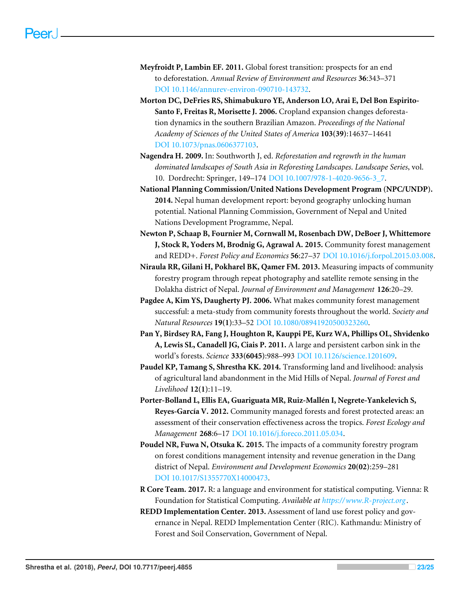- <span id="page-22-3"></span>**Meyfroidt P, Lambin EF. 2011.** Global forest transition: prospects for an end to deforestation. *Annual Review of Environment and Resources* **36**:343–371 [DOI 10.1146/annurev-environ-090710-143732.](http://dx.doi.org/10.1146/annurev-environ-090710-143732)
- <span id="page-22-1"></span>**Morton DC, DeFries RS, Shimabukuro YE, Anderson LO, Arai E, Del Bon Espirito-Santo F, Freitas R, Morisette J. 2006.** Cropland expansion changes deforestation dynamics in the southern Brazilian Amazon. *Proceedings of the National Academy of Sciences of the United States of America* **103(39)**:14637–14641 [DOI 10.1073/pnas.0606377103.](http://dx.doi.org/10.1073/pnas.0606377103)
- <span id="page-22-4"></span>**Nagendra H. 2009.** In: Southworth J, ed. *Reforestation and regrowth in the human dominated landscapes of South Asia in Reforesting Landscapes*. *Landscape Series*, vol. 10. Dordrecht: Springer, 149–174 [DOI 10.1007/978-1-4020-9656-3\\_7.](http://dx.doi.org/10.1007/978-1-4020-9656-3_7)
- <span id="page-22-11"></span>**National Planning Commission/United Nations Development Program (NPC/UNDP). 2014.** Nepal human development report: beyond geography unlocking human potential. National Planning Commission, Government of Nepal and United Nations Development Programme, Nepal.
- <span id="page-22-5"></span>**Newton P, Schaap B, Fournier M, Cornwall M, Rosenbach DW, DeBoer J, Whittemore J, Stock R, Yoders M, Brodnig G, Agrawal A. 2015.** Community forest management and REDD+. *Forest Policy and Economics* **56**:27–37 [DOI 10.1016/j.forpol.2015.03.008.](http://dx.doi.org/10.1016/j.forpol.2015.03.008)
- <span id="page-22-7"></span>**Niraula RR, Gilani H, Pokharel BK, Qamer FM. 2013.** Measuring impacts of community forestry program through repeat photography and satellite remote sensing in the Dolakha district of Nepal. *Journal of Environment and Management* **126**:20–29.
- <span id="page-22-6"></span>**Pagdee A, Kim YS, Daugherty PJ. 2006.** What makes community forest management successful: a meta-study from community forests throughout the world. *Society and Natural Resources* **19(1)**:33–52 [DOI 10.1080/08941920500323260.](http://dx.doi.org/10.1080/08941920500323260)
- <span id="page-22-0"></span>**Pan Y, Birdsey RA, Fang J, Houghton R, Kauppi PE, Kurz WA, Phillips OL, Shvidenko A, Lewis SL, Canadell JG, Ciais P. 2011.** A large and persistent carbon sink in the world's forests. *Science* **333(6045)**:988–993 [DOI 10.1126/science.1201609.](http://dx.doi.org/10.1126/science.1201609)
- <span id="page-22-10"></span>**Paudel KP, Tamang S, Shrestha KK. 2014.** Transforming land and livelihood: analysis of agricultural land abandonment in the Mid Hills of Nepal. *Journal of Forest and Livelihood* **12(1)**:11–19.
- <span id="page-22-2"></span>**Porter-Bolland L, Ellis EA, Guariguata MR, Ruiz-Mallén I, Negrete-Yankelevich S, Reyes-García V. 2012.** Community managed forests and forest protected areas: an assessment of their conservation effectiveness across the tropics. *Forest Ecology and Management* **268**:6–17 [DOI 10.1016/j.foreco.2011.05.034.](http://dx.doi.org/10.1016/j.foreco.2011.05.034)
- <span id="page-22-8"></span>**Poudel NR, Fuwa N, Otsuka K. 2015.** The impacts of a community forestry program on forest conditions management intensity and revenue generation in the Dang district of Nepal. *Environment and Development Economics* **20(02)**:259–281 [DOI 10.1017/S1355770X14000473.](http://dx.doi.org/10.1017/S1355770X14000473)
- <span id="page-22-12"></span>**R Core Team. 2017.** R: a language and environment for statistical computing. Vienna: R Foundation for Statistical Computing. *Available at <https://www.R-project.org>* .
- <span id="page-22-9"></span>**REDD Implementation Center. 2013.** Assessment of land use forest policy and governance in Nepal. REDD Implementation Center (RIC). Kathmandu: Ministry of Forest and Soil Conservation, Government of Nepal.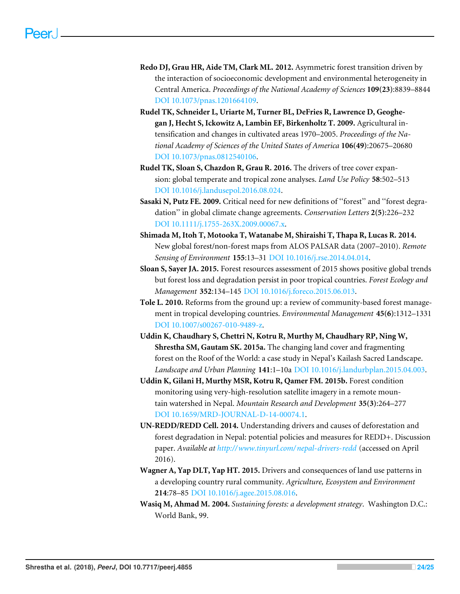- <span id="page-23-11"></span>**Redo DJ, Grau HR, Aide TM, Clark ML. 2012.** Asymmetric forest transition driven by the interaction of socioeconomic development and environmental heterogeneity in Central America. *Proceedings of the National Academy of Sciences* **109(23)**:8839–8844 [DOI 10.1073/pnas.1201664109.](http://dx.doi.org/10.1073/pnas.1201664109)
- <span id="page-23-3"></span>**Rudel TK, Schneider L, Uriarte M, Turner BL, DeFries R, Lawrence D, Geoghegan J, Hecht S, Ickowitz A, Lambin EF, Birkenholtz T. 2009.** Agricultural intensification and changes in cultivated areas 1970–2005. *Proceedings of the National Academy of Sciences of the United States of America* **106(49)**:20675–20680 [DOI 10.1073/pnas.0812540106.](http://dx.doi.org/10.1073/pnas.0812540106)
- <span id="page-23-10"></span>**Rudel TK, Sloan S, Chazdon R, Grau R. 2016.** The drivers of tree cover expansion: global temperate and tropical zone analyses. *Land Use Policy* **58**:502–513 [DOI 10.1016/j.landusepol.2016.08.024.](http://dx.doi.org/10.1016/j.landusepol.2016.08.024)
- <span id="page-23-9"></span>**Sasaki N, Putz FE. 2009.** Critical need for new definitions of ''forest'' and ''forest degradation'' in global climate change agreements. *Conservation Letters* **2(5)**:226–232 [DOI 10.1111/j.1755-263X.2009.00067.x.](http://dx.doi.org/10.1111/j.1755-263X.2009.00067.x)
- <span id="page-23-2"></span>**Shimada M, Itoh T, Motooka T, Watanabe M, Shiraishi T, Thapa R, Lucas R. 2014.** New global forest/non-forest maps from ALOS PALSAR data (2007–2010). *Remote Sensing of Environment* **155**:13–31 [DOI 10.1016/j.rse.2014.04.014.](http://dx.doi.org/10.1016/j.rse.2014.04.014)
- <span id="page-23-4"></span>**Sloan S, Sayer JA. 2015.** Forest resources assessment of 2015 shows positive global trends but forest loss and degradation persist in poor tropical countries. *Forest Ecology and Management* **352**:134–145 [DOI 10.1016/j.foreco.2015.06.013.](http://dx.doi.org/10.1016/j.foreco.2015.06.013)
- <span id="page-23-5"></span>**Tole L. 2010.** Reforms from the ground up: a review of community-based forest management in tropical developing countries. *Environmental Management* **45(6)**:1312–1331 [DOI 10.1007/s00267-010-9489-z.](http://dx.doi.org/10.1007/s00267-010-9489-z)
- <span id="page-23-7"></span>**Uddin K, Chaudhary S, Chettri N, Kotru R, Murthy M, Chaudhary RP, Ning W, Shrestha SM, Gautam SK. 2015a.** The changing land cover and fragmenting forest on the Roof of the World: a case study in Nepal's Kailash Sacred Landscape. *Landscape and Urban Planning* **141**:1–10a [DOI 10.1016/j.landurbplan.2015.04.003.](http://dx.doi.org/10.1016/j.landurbplan.2015.04.003)
- <span id="page-23-8"></span>**Uddin K, Gilani H, Murthy MSR, Kotru R, Qamer FM. 2015b.** Forest condition monitoring using very-high-resolution satellite imagery in a remote mountain watershed in Nepal. *Mountain Research and Development* **35(3)**:264–277 [DOI 10.1659/MRD-JOURNAL-D-14-00074.1.](http://dx.doi.org/10.1659/MRD-JOURNAL-D-14-00074.1)
- <span id="page-23-6"></span>**UN-REDD/REDD Cell. 2014.** Understanding drivers and causes of deforestation and forest degradation in Nepal: potential policies and measures for REDD+. Discussion paper. *Available at [http://www.tinyurl.com/ nepal-drivers-redd](http://www.tinyurl.com/nepal-drivers-redd)* (accessed on April 2016).
- <span id="page-23-1"></span>**Wagner A, Yap DLT, Yap HT. 2015.** Drivers and consequences of land use patterns in a developing country rural community. *Agriculture, Ecosystem and Environment* **214**:78–85 [DOI 10.1016/j.agee.2015.08.016.](http://dx.doi.org/10.1016/j.agee.2015.08.016)
- <span id="page-23-0"></span>**Wasiq M, Ahmad M. 2004.** *Sustaining forests: a development strategy*. Washington D.C.: World Bank, 99.